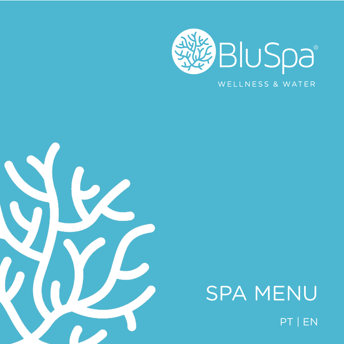



# SPA MENU PT | EN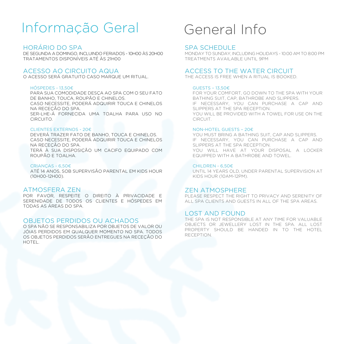## Informação Geral General Info

### HORÁRIO DO SPA

DE SEGUNDA A DOMINGO, INCLUINDO FERIADOS - 10H00 ÀS 20H00 TRATAMENTOS DISPONÍVEIS ATÉ ÀS 21H00

#### ACESSO AO CIRCUITO AQUA

O ACESSO SERÁ GRATUITO CASO MARQUE UM RITUAL.

#### HÓSPEDES - 13,50€

PARA SUA COMODIDADE DESÇA AO SPA COM O SEU FATO DE BANHO, TOUCA, ROUPÃO E CHINELOS. CASO NECESSITE, PODERÁ ADQUIRIR TOUCA E CHINELOS NA RECEÇÃO DO SPA. SER-LHE-Á FORNECIDA UMA TOALHA PARA USO NO CIRCUITO.

#### CLIENTES EXTERNOS - 20€

DEVERÁ TRAZER FATO DE BANHO, TOUCA E CHINELOS. CASO NECESSITE, PODERÁ ADQUIRIR TOUCA E CHINELOS NA RECEÇÃO DO SPA. TERÁ À SUA DISPOSIÇÃO UM CACIFO EQUIPADO COM ROUPÃO E TOALHA.

#### CRIANÇAS - 6,50€

ATÉ 14 ANOS, SOB SUPERVISÃO PARENTAL EM KIDS HOUR (10H00-12H00).

#### ATMOSFERA ZEN

POR FAVOR, RESPEITE O DIREITO À PRIVACIDADE E SERENIDADE DE TODOS OS CLIENTES E HÓSPEDES EM TODAS AS ÁREAS DO SPA.

#### OBJETOS PERDIDOS OU ACHADOS

O SPA NÃO SE RESPONSABILIZA POR OBJETOS DE VALOR OU JÓIAS PERDIDOS EM QUALQUER MOMENTO NO SPA. TODOS OS OBJETOS PERDIDOS SERÃO ENTREGUES NA RECEÇÃO DO HOTEL.

#### SPA SCHEDULE

MONDAY TO SUNDAY, INCLUDING HOLIDAYS - 10:00 AM TO 8:00 PM TREATMENTS AVAILABLE UNTIL 9PM

#### ACCESS TO THE WATER CIRCUIT

THE ACCESS IS FREE WHEN A RITUAL IS BOOKED.

#### GUESTS – 13,50€

FOR YOUR COMFORT, GO DOWN TO THE SPA WITH YOUR BATHING SUIT, CAP, BATHROBE AND SLIPPERS. IF NECESSARY, YOU CAN PURCHASE A CAP AND SLIPPERS AT THE SPA RECEPTION. YOU WILL BE PROVIDED WITH A TOWEL FOR USE ON THE CIRCUIT.

#### NON-HOTEL GUESTS – 20€

YOU MUST BRING A BATHING SUIT, CAP AND SLIPPERS. IF NECESSARY, YOU CAN PURCHASE A CAP AND SLIPPERS AT THE SPA RECEPTION. YOU WILL HAVE AT YOUR DISPOSAL A LOCKER EQUIPPED WITH A BATHROBE AND TOWEL.

#### CHILDREN - 6,50€

UNTIL 14 YEARS OLD, UNDER PARENTAL SUPERVISION AT KIDS HOUR (10AM-12PM).

#### ZEN ATMOSPHERE

PLEASE RESPECT THE RIGHT TO PRIVACY AND SERENITY OF ALL SPA CLIENTS AND GUESTS IN ALL OF THE SPA AREAS.

#### LOST AND FOUND

THE SPA IS NOT RESPONSIBLE AT ANY TIME FOR VALUABLE OBJECTS OR JEWELLERY LOST IN THE SPA. ALL LOST PROPERTY SHOULD BE HANDED IN TO THE HOTEL RECEPTION.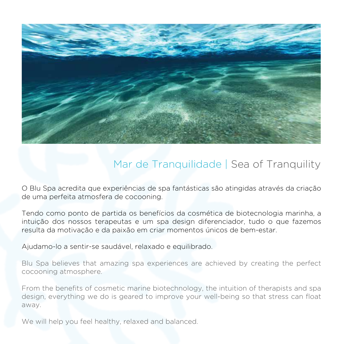

### Mar de Tranquilidade | Sea of Tranquility

O Blu Spa acredita que experiências de spa fantásticas são atingidas através da criação de uma perfeita atmosfera de cocooning.

Tendo como ponto de partida os benefícios da cosmética de biotecnologia marinha, a intuição dos nossos terapeutas e um spa design diferenciador, tudo o que fazemos resulta da motivação e da paixão em criar momentos únicos de bem-estar.

Ajudamo-lo a sentir-se saudável, relaxado e equilibrado.

Blu Spa believes that amazing spa experiences are achieved by creating the perfect cocooning atmosphere.

From the benefits of cosmetic marine biotechnology, the intuition of therapists and spa design, everything we do is geared to improve your well-being so that stress can float away.

We will help you feel healthy, relaxed and balanced.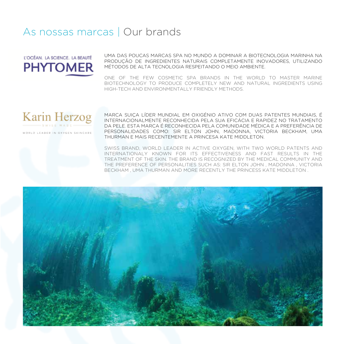### As nossas marcas | Our brands



UMA DAS POUCAS MARCAS SPA NO MUNDO A DOMINAR A BIOTECNOLOGIA MARINHA NA PRODUÇÃO DE INGREDIENTES NATURAIS COMPLETAMENTE INOVADORES, UTILIZANDO MÉTODOS DE ALTA TECNOLOGIA RESPEITANDO O MEIO AMBIENTE.

ONE OF THE FEW COSMETIC SPA BRANDS IN THE WORLD TO MASTER MARINE BIOTECHNOLOGY TO PRODUCE COMPLETELY NEW AND NATURAL INGREDIENTS USING HIGH-TECH AND ENVIRONMENTALLY FRIENDLY METHODS.



WORLD LEADER IN OXYGEN SKINCARE

MARCA SUIÇA LÍDER MUNDIAL EM OXIGÉNIO ATIVO COM DUAS PATENTES MUNDIAIS, É INTERNACIONALMENTE RECONHECIDA PELA SUA EFICÁCIA E RAPIDEZ NO TRATAMENTO DA PELE. ESTA MARCA É RECONHECIDA PELA COMUNIDADE MÉDICA E A PREFERÊNCIA DE PERSONALIDADES COMO: SIR ELTON JOHN, MADONNA, VICTORIA BECKHAM, UMA THURMAN E MAIS RECENTEMENTE A PRINCESA KATE MIDDLETON.

SWISS BRAND, WORLD LEADER IN ACTIVE OXYGEN, WITH TWO WORLD PATENTS AND INTERNATIONALY KNOWN FOR ITS EFFECTIVENESS AND FAST RESULTS IN THE TREATMENT OF THE SKIN. THE BRAND IS RECOGNIZED BY THE MEDICAL COMMUNITY AND THE PREFERENCE OF PERSONALITIES SUCH AS: SIR ELTON JOHN , MADONNA , VICTORIA BECKHAM , UMA THURMAN AND MORE RECENTLY THE PRINCESS KATE MIDDLETON .

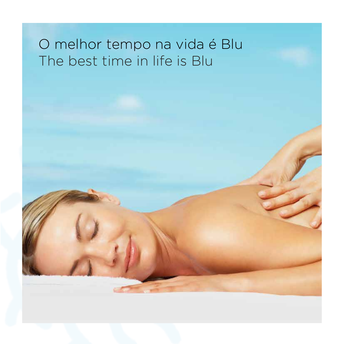## O melhor tempo na vida é Blu The best time in life is Blu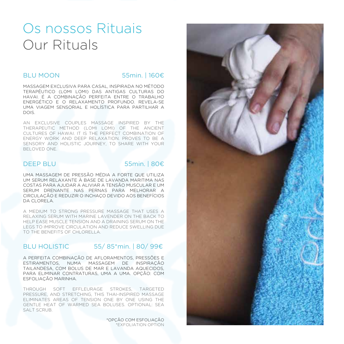## Os nossos Rituais Our Rituals

### BLU MOON 55min. | 160€

MASSAGEM EXCLUSIVA PARA CASAL, INSPIRADA NO MÉTODO TERAPÊUTICO (LOMI LOMI) DAS ANTIGAS CULTURAS DO HAVAI. É A COMBINAÇÃO PERFEITA ENTRE O TRABALHO ENERGÉTICO E O RELAXAMENTO PROFUNDO. REVELA-SE UMA VIAGEM SENSORIAL E HOLÍSTICA PARA PARTILHAR A DOIS.

AN EXCLUSIVE COUPLES MASSAGE INSPIRED BY THE THERAPEUTIC METHOD (LOMI LOMI) OF THE ANCIENT CULTURES OF HAWAL IT IS THE PERFECT COMBINATION OF ENERGY WORK AND DEEP RELAXATION. PROVES TO BE A SENSORY AND HOLISTIC JOURNEY, TO SHARE WITH YOUR BELOVED ONE.

### DEEP BLU 55min. | 80€

UMA MASSAGEM DE PRESSÃO MÉDIA A FORTE QUE UTILIZA UM SERUM RELAXANTE À BASE DE LAVANDA MARITIMA NAS COSTAS PARA AJUDAR A ALIVIAR A TENSÃO MUSCULAR E UM SERUM DRENANTE NAS PERNAS PARA MELHORAR A CIRCULAÇÃO E REDUZIR O INCHAÇO DEVIDO AOS BENEFÍCIOS DA CLORELA.

A MEDIUM TO STRONG PRESSURE MASSAGE THAT USES A RELAXING SERUM WITH MARINE LAVENDER ON THE BACK TO HELP EASE MUSCLE TENSION AND A DRAINING SERUM ON THE LEGS TO IMPROVE CIRCULATION AND REDUCE SWELLING DUE TO THE BENEFITS OF CHLORELLA.

### BLU HOLISTIC 55/ 85\*min. | 80/ 99€

A PERFEITA COMBINAÇÃO DE AFLORAMENTOS, PRESSÕES E ESTIRAMENTOS, NUMA MASSAGEM DE INSPIRAÇÃO TAILANDESA, COM BOLUS DE MAR E LAVANDA AQUECIDOS, PARA ELIMINAR CONTRATURAS, UMA A UMA. OPÇÃO: COM ESFOLIAÇÃO MARINHA.

THROUGH SOFT EFFLEURAGE STROKES, TARGETED PRESSURE, AND STRETCHING, THIS THAI-INSPIRED MASSAGE ELIMINATES AREAS OF TENSION ONE BY ONE USING THE GENTLE HEAT OF WARMED SEA BOLUSES. OPTIONAL: SEA SALT SCRUB.

> \*OPÇÃO COM ESFOLIAÇÃO \*EXFOLIATION OPTION

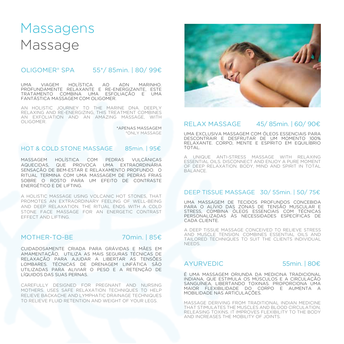## Massagens Massage

### OLIGOMER® SPA 55\*/ 85min. | 80/ 99€

UMA VIAGEM HOLÍSTICA AO ADN MARINHO. PROFUNDAMENTE RELAXANTE E RE-ENERGIZANTE, ESTE TRATAMENTO COMBINA UMA ESFOLIAÇÃO E UMA FANTÁSTICA MASSAGEM COM OLIGOMER.

AN HOLISTIC JOURNEY TO THE MARINE DNA. DEEPLY RELAXING AND RE-ENERGIZING, THIS TREATMENT COMBINES AN EXFOLIATION AND AN AMAZING MASSAGE, WITH OLIGOMER.

> \*APENAS MASSAGEM \*ONLY MASSAGE

#### HOT & COLD STONE MASSAGE 85min. | 95€

MASSAGEM HOLÍSTICA COM PEDRAS VULCÂNICAS AQUECIDAS, QUE PROVOCA UMA EXTRAORDINÁRIA SENSAÇÃO DE BEM-ESTAR E RELAXAMENTO PROFUNDO. O RITUAL TERMINA COM UMA MASSAGEM DE PEDRAS FRIAS SOBRE O ROSTO PARA UM EFEITO DE CONTRASTE ENERGÉTICO E DE LIFTING.

A HOLISTIC MASSAGE USING VOLCANIC HOT STONES, THAT PROMOTES AN EXTRAORDINARY FEELING OF WELL-BEING AND DEEP RELAXATION. THE RITUAL ENDS WITH A COLD STONE FACE MASSAGE FOR AN ENERGETIC CONTRAST EFFECT AND LIFTING.

#### MOTHER-TO-BE 70min. | 85€

CUIDADOSAMENTE CRIADA PARA GRÁVIDAS E MÃES EM AMAMENTAÇÃO, UTILIZA AS MAIS SEGURAS TÉCNICAS DE RELAXAÇÃO PARA AJUDAR A LIBERTAR AS TENSÕES LOMBARES. TÉCNICAS DE DRENAGEM LINFÁTICA SÃO UTILIZADAS PARA ALIVIAR O PESO E A RETENÇÃO DE LÍQUIDOS DAS SUAS PERNAS.

CAREFULLY DESIGNED FOR PREGNANT AND NURSING MOTHERS. USES SAFE RELAXATION TECHNIQUES TO HELP RELIEVE BACKACHE AND LYMPHATIC DRAINAGE TECHNIQUES TO RELIEVE FLUID RETENTION AND WEIGHT OF YOUR LEGS.



### RELAX MASSAGE 45/ 85min. | 60/ 90€

UMA EXCLUSIVA MASSAGEM COM ÓLEOS ESSENCIAIS PARA DESCONTRAIR E DESFRUTAR DE UM MOMENTO 100% RELAXANTE. CORPO, MENTE E ESPÍRITO EM EQUILÍBRIO TOTAL.

A UNIQUE ANTI-STRESS MASSAGE WITH RELAXING ESSENTIAL OILS. DISCONNECT AND ENJOY A PURE MOMENT OF DEEP RELAXATION. BODY, MIND AND SPIRIT IN TOTAL BALANCE.

#### DEEP TISSUE MASSAGE 30/ 55min. | 50/ 75€

UMA MASSAGEM DE TECIDOS PROFUNDOS CONCEBIDA PARA O ALÍVIO DAS ZONAS DE TENSÃO MUSCULAR E STRESS, COMBINA ÓLEOS ESSENCIAIS COM TÉCNICAS PERSONALIZADAS ÀS NECESSIDADES ESPECÍFICAS DE CADA CLIENTE.

A DEEP TISSUE MASSAGE CONCEIVED TO RELIEVE STRESS AND MUSCLE TENSION. COMBINES ESSENTIAL OILS AND TAILORED TECHNIQUES TO SUIT THE CLIENTS INDIVIDUAL NEEDS.

#### AYURVEDIC 55min. | 80€

É UMA MASSAGEM ORIUNDA DA MEDICINA TRADICIONAL INDIANA, QUE ESTIMULA OS MÚSCULOS E A CIRCULAÇÃO SANGUÍNEA, LIBERTANDO TOXINAS. PROPORCIONA UMA MAIOR FLEXIBILIDADE DO CORPO E AUMENTA A MOBILIDADE NAS ARTICULAÇÕES.

MASSAGE DERIVING FROM TRADITIONAL INDIAN MEDICINE THAT STIMULATES THE MUSCLES AND BLOOD CIRCULATION. RELEASING TOXINS. IT IMPROVES FLEXIBILITY TO THE BODY AND INCREASES THE MOBILITY OF JOINTS.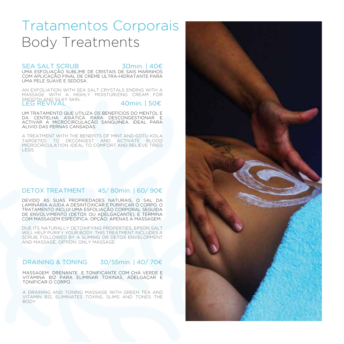## Tratamentos Corporais Body Treatments

SEA SALT SCRUB 30min. | 40€ UMA ESFOLIAÇÃO SUBLIME DE CRISTAIS DE SAIS MARINHOS COM APLICAÇÃO FINAL DE CREME ULTRA-HIDRATANTE PARA UMA PELE SUAVE E SEDOSA.

AN EXFOLIATION WITH SEA SALT CRYSTALS ENDING WITH A MASSAGE WITH A HIGHLY MOISTURIZING CREAM FOR SMOOTH AND SILKY SKIN. 40min. | 50€

UM TRATAMENTO QUE UTILIZA OS BENEFÍCIOS DO MENTOL E DA CENTELHA ASIÁTICA PARA DESCONGESTIONAR E ACTIVAR A MICROCIRCULAÇÃO SANGUINEA. IDEAL PARA ALIVIO DAS PERNAS CANSADAS.

A TREATMENT WITH THE BENEFITS OF MINT AND GOTU KOLA TARGETED TO DECONGEST AND ACTIVATE BLOOD MICROCIRCULATION. IDEAL TO COMFORT AND RELIEVE TIRED LEGS.

### DETOX TREATMENT 45/ 80min. | 60/ 90€

DEVIDO ÀS SUAS PROPRIEDADES NATURAIS, O SAL DA LAMINÁRIA AJUDA A DESINTOXICAR E PURIFICAR O CORPO. O TRATAMENTO INCLUI UMA ESFOLIAÇÃO CORPORAL SEGUIDA DE ENVOLVIMENTO (DETOX OU ADELGAÇANTE), E TERMINA COM MASSAGEM ESPECIFICA. OPÇÃO: APENAS A MASSAGEM.

DUE ITS NATURALLY DETOXIFYING PROPERTIES, EPSON SALT WILL HELP PURIFY YOUR BODY. THIS TREATMENT INCLUDES A SCRUB, FOLLOWED BY A SLIMING OR DETOX ENVELOPMENT AND MASSAGE. OPTION: ONLY MASSAGE.

### DRAINING & TONING 30/55min. | 40/ 70€

MASSAGEM DRENANTE E TONIFICANTE COM CHÁ VERDE E VITAMINA B12 PARA ELIMINAR TOXINAS, ADELGAÇAR E TONIFICAR O CORPO.

A DRAINING AND TONING MASSAGE WITH GREEN TEA AND VITAMIN B12, ELIMINATES TOXINS, SLIMS AND TONES THE BODY

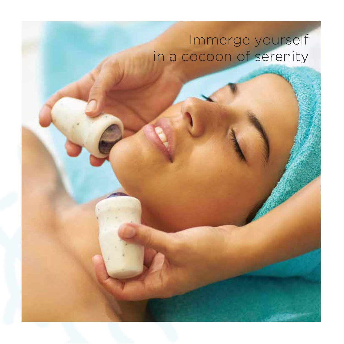## Immerge yourself in a cocoon of serenity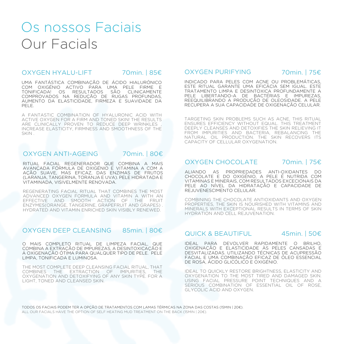## Os nossos Faciais Our Facials

#### OXYGEN HYALU-LIFT 70min. | 85€

UMA FANTÁSTICA COMBINAÇÃO DE ÁCIDO HIALURÓNICO COM OXIGÉNIO ACTIVO PARA UMA PELE FIRME E TONIFICADA! OS RESULTADOS SÃO CLINICAMENTE COMPROVADOS NA REDUÇÃO DE RUGAS PROFUNDAS, AUMENTO DA ELASTICIDADE, FIRMEZA E SUAVIDADE DA PELE.

A FANTASTIC COMBINATION OF HYALURONIC ACID WITH ACTIVE OXYGEN FOR A FIRM AND TONED SKIN! THE RESULTS ARE CLINICALLY PROVEN TO REDUCE DEEP WRINKLES INCREASE ELASTICITY, FIRMNESS AND SMOOTHNESS OF THE SKIN .

#### OXYGEN ANTI-AGEING 70min. | 80€

RITUAL FACIAL REGENERADOR QUE COMBINA A MAIS AVANÇADA FÓRMULA DE OXIGÉNIO E VITAMINA A COM A AÇÃO SUAVE, MAS EFICAZ, DAS ENZIMAS DE FRUTOS (LARANJA, TANGERINA, TORANJA E UVA). PELE HIDRATADA E VITAMINADA, VISIVELMENTE RENOVADA.

REGENERATING FACIAL RITUAL THAT COMBINES THE MOST ADVANCED OXYGEN FORMULA AND VITAMIN A WITH AN EFFECTIVE AND SMOOTH ACTION OF THE FRUIT ENZYMES(ORANGE, TANGERINE, GRAPEFRUIT AND GRAPES) . HYDRATED AND VITAMIN ENRICHED SKIN VISIBLY RENEWED.

#### OXYGEN DEEP CLEANSING 85min. | 80€

O MAIS COMPLETO RITUAL DE LIMPEZA FACIAL, QUE COMBINA A EXTRAÇÃO DE IMPUREZAS, A DESINTOXICAÇÃO E A OXIGENAÇÃO ÓTIMA PARA QUALQUER TIPO DE PELE. PELE LIMPA, TONIFICADA E LUMINOSA.

THE MOST COMPLETE DEEP CLEANSING FACIAL RITUAL, THAT COMBINES THE EXTRACTION OF IMPURITIES, THE OXYGENATION AND DETOXIFYING OF ANY SKIN TYPE. FOR A LIGHT, TONED AND CLEANSED SKIN.

#### OXYGEN PURIFYING

70min. | 75€

INDICADO PARA PELES COM ACNE OU PROBLEMÁTICAS, ESTE RITUAL GARANTE UMA EFICÁCIA SEM IGUAL. ESTE TRATAMENTO LIMPA E DESINTOXICA PROFUNDAMENTE A PELE LIBERTANDO-A DE BACTÉRIAS E IMPUREZAS, REEQUILIBRANDO A PRODUÇÃO DE OLEOSIDADE. A PELE RECUPERA A SUA CAPACIDADE DE OXIGENAÇÃO CELULAR.

TARGETING SKIN PROBLEMS SUCH AS ACNE, THIS RITUAL ENSURES EFFICIENCY WITHOUT EQUAL. THIS TREATMENT DEEPLY CLEANSES AND DETOXIFIES THE SKIN RELIEVING IT FROM IMPURITIES AND BACTERIA, REBALANCING THE NATURAL OIL PRODUCTION. THE SKIN RECOVERS ITS CAPACITY OF CELLULAR OXYGENATION.

#### OXYGEN CHOCOLATE 70min. | 75€

ALIANDO AS PROPRIEDADES ANTI-OXIDANTES DO CHOCOLATE E DO OXIGÉNIO, A PELE É NUTRIDA COM VITAMINAS E MINERAIS, COM RESULTADOS EXCECIONAIS DA PELE AO NÍVEL DA HIDRATAÇÃO E CAPACIDADE DE REJUVENESCIMENTO CELULAR.

COMBINING THE CHOCOLATE ANTIOXIDANTS AND OXYGEN PROPERTIES, THE SKIN IS NOURISHED WITH VITAMINS AND MINERALS WITH EXCEPTIONAL RESULTS IN TERMS OF SKIN HYDRATION AND CELL REJUVENATION.

### QUICK & BEAUTIFUL 45min. | 50€

IDEAL PARA DEVOLVER RAPIDAMENTE O BRILHO, OXIGENAÇÃO E ELASTICIDADE ÀS PELES CANSADAS E DESVITALIZADAS. UTILIZANDO TÉCNICAS DE ACUPRESSÃO FACIAL E UMA COMBINAÇÃO EFICAZ DE ÓLEO ESSENCIAL DE ROSA, ÁCIDO GLICÓLICO E OXIGÉNIO.

IDEAL TO QUICKLY RESTORE BRIGHTNESS, ELASTICITY AND OXYGENATION TO THE MOST TIRED AND DAMAGED SKIN. USING FACIAL PRESSURE POINT TECHNIQUES AND A SERIOUS COMBINATION OF ESSENTIAL OIL OF ROSE, GLYCOLIC ACID AND OXYGEN.

TODOS OS FACIAIS PODEM TER A OPÇÃO DE TRATAMENTOS COM LAMAS TÉRMICAS NA ZONA DAS COSTAS (15MIN | 20€). ALL OUR FACIALS HAVE THE OPTION OF SELF HEATING MUD TREATMENT ON THE BACK (15MIN | 20€).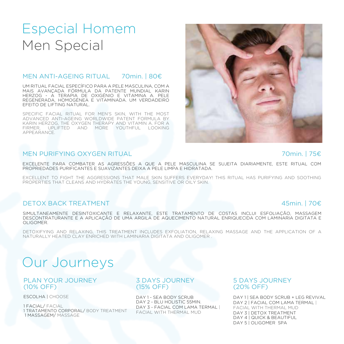## Especial Homem Men Special

#### MEN ANTI-AGEING RITUAL 70min. | 80€

UM RITUAL FACIAL ESPECÍFICO PARA A PELE MASCULINA, COM A MAIS AVANÇADA FÓRMULA DA PATENTE MUNDIAL KARIN HERZOG - A TERAPIA DE OXIGÉNIO E VITAMINA A. PELE REGENERADA, HOMOGÉNEA E VITAMINADA. UM VERDADEIRO EFEITO DE LIFTING NATURAL.

SPECIFIC FACIAL RITUAL FOR MEN'S SKIN, WITH THE MOST ADVANCED ANTI-AGEING WORLDWIDE PATENT FORMULA BY KARIN HERZOG, THE OXYGEN THERAPY AND VITAMIN A. FOR A FIRMER, UPLIFTED AND MORE YOUTHFUL LOOKING APPEARANCE.

### MEN PURIFYING OXYGEN RITUAL 70min. | 75€

EXCELENTE PARA COMBATER AS AGRESSÕES A QUE A PELE MASCULINA SE SUJEITA DIARIAMENTE, ESTE RITUAL COM PROPRIEDADES PURIFICANTES E SUAVIZANTES DEIXA A PELE LIMPA E HIDRATADA.

EXCELLENT TO FIGHT THE AGGRESSIONS THAT MALE SKIN SUFFERS EVERYDAY! THIS RITUAL HAS PURIFYING AND SOOTHING PROPERTIES THAT CLEANS AND HYDRATES THE YOUNG, SENSITIVE OR OILY SKIN.

### DETOX BACK TREATMENT 45min. | 70€

SIMULTANEAMENTE DESINTOXICANTE E RELAXANTE, ESTE TRATAMENTO DE COSTAS INCLUI ESFOLIAÇÃO, MASSAGEM DESCONTRATURANTE E A APLICAÇÃO DE UMA ARGILA DE AQUECIMENTO NATURAL ENRIQUECIDA COM LAMINARIA DIGITATA E OLIGOMER.

DETOXIFYING AND RELAXING, THIS TREATMENT INCLUDES EXFOLIATION, RELAXING MASSAGE AND THE APPLICATION OF A NATURALLY HEATED CLAY ENRICHED WITH LAMINARIA DIGITATA AND OLIGOMER .

## Our Journeys

#### PLAN YOUR JOURNEY (10% OFF)

ESCOLHA | CHOOSE

1 FACIAL/ FACIAL 1 TRATAMENTO CORPORAL/ BODY TREATMENT 1 MASSAGEM/ MASSAGE

### 3 DAYS JOURNEY (15% OFF)

DAY 1 - SEA BODY SCRUB DAY 2 - BLU HOLISTIC 55MIN. DAY 3 - FACIAL COM LAMA TERMAL | FACIAL WITH THERMAL MUD

#### 5 DAYS JOURNEY (20% OFF)

DAY 1 | SEA BODY SCRUB + LEG REVIVAL DAY 2 | FACIAL COM LAMA TERMAL | FACIAL WITH THERMAL MUD DAY 3 | DETOX TREATMENT DAY 4 | QUICK & BEAUTIFUL DAY 5 | OLIGOMER SPA

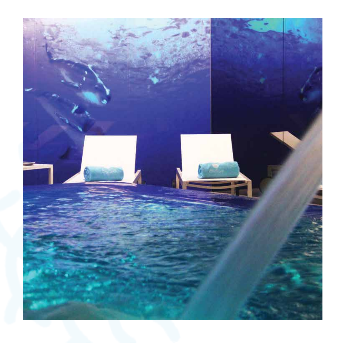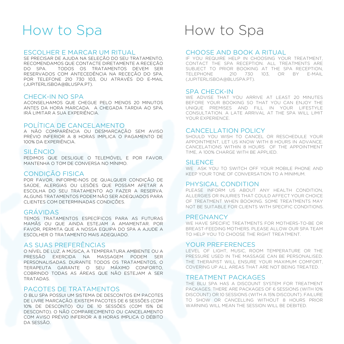### How to Spa

#### ESCOLHER E MARCAR UM RITUAL

SE PRECISAR DE AJUDA NA SELEÇÃO DO SEU TRATAMENTO, RECOMENDAMOS QUE CONTACTE DIRETAMENTE A RECEÇÃO DO SPA. TODOS OS TRATAMENTOS DEVEM SER RESERVADOS COM ANTECEDÊNCIA NA RECEÇÃO DO SPA, POR TELEFONE 210 730 103, OU ATRAVÉS DO E-MAIL (JUPITERLISBOA@BLUSPA.PT).

#### CHECK-IN NO SPA

ACONSELHAMOS QUE CHEGUE PELO MENOS 20 MINUTOS ANTES DA HORA MARCADA. A CHEGADA TARDIA AO SPA, IRÁ LIMITAR A SUA EXPERIÊNCIA.

#### POLÍTICA DE CANCELAMENTO

A NÃO COMPARÊNCIA OU DESMARCAÇÃO SEM AVISO PRÉVIO INFERIOR A 8 HORAS IMPLICA O PAGAMENTO DE 100% DA EXPERIÊNCIA.

#### SILÊNCIO

PEDIMOS QUE DESLIGUE O TELEMÓVEL E POR FAVOR, MANTENHA O TOM DE CONVERSA NO MÍNIMO.

#### CONDIÇÃO FISICA

POR FAVOR, INFORME-NOS DE QUALQUER CONDIÇÃO DE SAÚDE, ALERGIAS OU LESÕES QUE POSSAM AFETAR A ESCOLHA DO SEU TRATAMENTO AO FAZER A RESERVA. ALGUNS TRATAMENTOS PODEM NÃO SER ADEQUADOS PARA CLIENTES COM DETERMINADAS CONDIÇÕES.

#### GRÁVIDAS

TEMOS TRATAMENTOS ESPECÍFICOS PARA AS FUTURAS MAMÃS OU QUE AINDA ESTEJAM A AMAMENTAR. POR FAVOR, PERMITA QUE A NOSSA EQUIPA DO SPA A AJUDE A ESCOLHER O TRATAMENTO MAIS ADEQUADO.

#### AS SUAS PREFERÊNCIAS

O NÍVEL DE LUZ, A MÚSICA, A TEMPERATURA AMBIENTE OU A PRESSÃO EXERCIDA NA MASSAGEM PODEM SER PERSONALISADAS. DURANTE TODOS OS TRATAMENTOS, O TERAPEUTA GARANTE O SEU MÁXIMO CONFORTO, COBRINDO TODAS AS ÁREAS QUE NÃO ESTEJAM A SER TRATADAS.

#### PACOTES DE TRATAMENTOS

O BLU SPA POSSUI UM SISTEMA DE DESCONTOS EM PACOTES DE LIVRE MARCAÇÃO. EXISTEM PACOTES DE 6 SESSÕES (COM 10% DE DESCONTO) OU DE 10 SESSÕES (COM 15% DE DESCONTO). O NÃO COMPARECIMENTO OU CANCELAMENTO COM AVISO PRÉVIO INFERIOR A 8 HORAS IMPLICA O DÉBITO DA SESSÃO.

### How to Spa

#### CHOOSE AND BOOK A RITUAL

IF YOU REQUIRE HELP IN CHOOSING YOUR TREATMENT. CONTACT THE SPA RECEPTION. ALL TREATMENTS ARE SUBJECT TO PRIOR BOOKING AT THE SPA RECEPTION. TELEPHONE 210 730 103, OR BY E-MAIL (JUPITERLISBOA@BLUSPA.PT).

#### SPA CHECK-IN

WE ADVISE THAT YOU ARRIVE AT LEAST 20 MINUTES BEFORE YOUR BOOKING SO THAT YOU CAN ENJOY THE UNIQUE PREMISES AND FILL IN YOUR LIFESTYLE CONSULTATION. A LATE ARRIVAL AT THE SPA WILL LIMIT YOUR EXPERIENCE.

#### CANCELLATION POLICY

SHOULD YOU WISH TO CANCEL OR RESCHEDULE YOUR APPOINTMENT, LET US KNOW WITH 8 HOURS IN ADVANCE. CANCELATIONS WITHIN 8 HOURS OF THE APPOINTMENT TIME, A 100% CHARGE WITH BE APPLIED.

#### SILENCE

WE ASK YOU TO SWITCH OFF YOUR MOBILE PHONE AND KEEP YOUR TONE OF CONVERSATION TO A MINIMUM.

#### PHYSICAL CONDITION

PLEASE INFORM US ABOUT ANY HEALTH CONDITION. ALLERGIES OR INJURIES THAT COULD AFFECT YOUR CHOICE OF TREATMENT WHEN BOOKING. SOME TREATMENTS MAY NOT BE SUITABLE FOR CLIENTS WITH SPECIFIC CONDITIONS.

#### **PREGNANCY**

WE HAVE SPECIFIC TREATMENTS FOR MOTHERS-TO-BE OR BREAST-FEEDING MOTHERS. PLEASE ALLOW OUR SPA TEAM TO HELP YOU TO CHOOSE THE RIGHT TREATMENT.

#### YOUR PREFERENCES

LEVEL OF LIGHT, MUSIC, ROOM TEMPERATURE OR THE PRESSURE USED IN THE MASSAGE CAN BE PERSONALISED. THE THERAPIST WILL ENSURE YOUR MAXIMUM COMFORT, COVERING UP ALL AREAS THAT ARE NOT BEING TREATED.

#### TREATMENT PACKAGES

THE BLU SPA HAS A DISCOUNT SYSTEM FOR TREATMENT PACKAGES. THERE ARE PACKAGES OF 6 SESSIONS (WITH 10% DISCOUNT) OR 10 SESSIONS (WITH A 15% DISCOUNT). FAILURE TO SHOW OR CANCELLING WITHOUT 8 HOURS PRIOR WARNING WILL MEAN THE SESSION WILL BE DEBITED.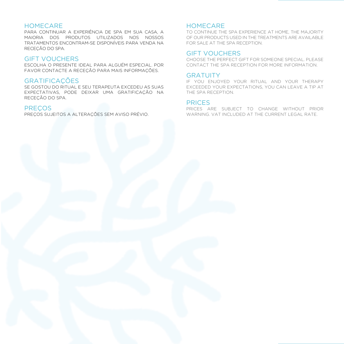#### HOMECARE

PARA CONTINUAR A EXPERIÊNCIA DE SPA EM SUA CASA, A MAIORIA DOS PRODUTOS UTILIZADOS NOS NOSSOS TRATAMENTOS ENCONTRAM-SE DISPONÍVEIS PARA VENDA NA RECEÇÃO DO SPA.

#### GIFT VOUCHERS

ESCOLHA O PRESENTE IDEAL PARA ALGUÉM ESPECIAL. POR FAVOR CONTACTE A RECEÇÃO PARA MAIS INFORMAÇÕES.

### **GRATIFICAÇÕES**

SE GOSTOU DO RITUAL E SEU TERAPEUTA EXCEDEU AS SUAS EXPECTATIVAS, PODE DEIXAR UMA GRATIFICAÇÃO NA RECEÇÃO DO SPA.

#### **PRECOS**

PREÇOS SUJEITOS A ALTERAÇÕES SEM AVISO PRÉVIO.

#### HOMECARE

TO CONTINUE THE SPA EXPERIENCE AT HOME, THE MAJORITY OF OUR PRODUCTS USED IN THE TREATMENTS ARE AVAILABLE FOR SALE AT THE SPA RECEPTION.

#### GIFT VOUCHERS

CHOOSE THE PERFECT GIFT FOR SOMEONE SPECIAL. PLEASE CONTACT THE SPA RECEPTION FOR MORE INFORMATION.

#### **GRATUITY**

IF YOU ENJOYED YOUR RITUAL AND YOUR THERAPY EXCEEDED YOUR EXPECTATIONS, YOU CAN LEAVE A TIP AT THE SPA RECEPTION.

#### PRICES

PRICES ARE SUBJECT TO CHANGE WITHOUT PRIOR WARNING. VAT INCLUDED AT THE CURRENT LEGAL RATE.